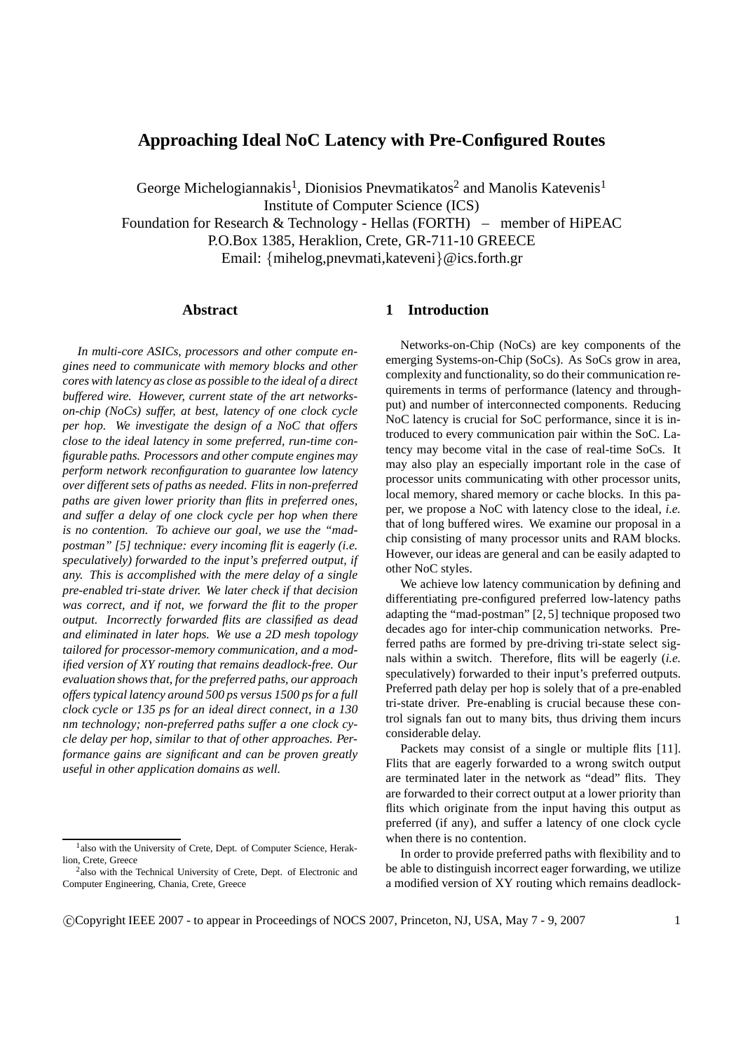# **Approaching Ideal NoC Latency with Pre-Configured Routes**

George Michelogiannakis<sup>1</sup>, Dionisios Pnevmatikatos<sup>2</sup> and Manolis Katevenis<sup>1</sup> Institute of Computer Science (ICS) Foundation for Research & Technology - Hellas (FORTH) – member of HiPEAC P.O.Box 1385, Heraklion, Crete, GR-711-10 GREECE Email: {mihelog,pnevmati,kateveni}@ics.forth.gr

# **Abstract**

*In multi-core ASICs, processors and other compute engines need to communicate with memory blocks and other cores with latency as close as possible to the ideal of a direct buffered wire. However, current state of the art networkson-chip (NoCs) suffer, at best, latency of one clock cycle per hop. We investigate the design of a NoC that offers close to the ideal latency in some preferred, run-time configurable paths. Processors and other compute engines may perform network reconfiguration to guarantee low latency over different sets of paths as needed. Flits in non-preferred paths are given lower priority than flits in preferred ones, and suffer a delay of one clock cycle per hop when there is no contention. To achieve our goal, we use the "madpostman" [5] technique: every incoming flit is eagerly (i.e. speculatively) forwarded to the input's preferred output, if any. This is accomplished with the mere delay of a single pre-enabled tri-state driver. We later check if that decision was correct, and if not, we forward the flit to the proper output. Incorrectly forwarded flits are classified as dead and eliminated in later hops. We use a 2D mesh topology tailored for processor-memory communication, and a modified version of XY routing that remains deadlock-free. Our evaluation shows that, for the preferred paths, our approach offers typical latency around 500 ps versus 1500 ps for a full clock cycle or 135 ps for an ideal direct connect, in a 130 nm technology; non-preferred paths suffer a one clock cycle delay per hop, similar to that of other approaches. Performance gains are significant and can be proven greatly useful in other application domains as well.*

# **1 Introduction**

Networks-on-Chip (NoCs) are key components of the emerging Systems-on-Chip (SoCs). As SoCs grow in area, complexity and functionality, so do their communication requirements in terms of performance (latency and throughput) and number of interconnected components. Reducing NoC latency is crucial for SoC performance, since it is introduced to every communication pair within the SoC. Latency may become vital in the case of real-time SoCs. It may also play an especially important role in the case of processor units communicating with other processor units, local memory, shared memory or cache blocks. In this paper, we propose a NoC with latency close to the ideal, *i.e.* that of long buffered wires. We examine our proposal in a chip consisting of many processor units and RAM blocks. However, our ideas are general and can be easily adapted to other NoC styles.

We achieve low latency communication by defining and differentiating pre-configured preferred low-latency paths adapting the "mad-postman" [2, 5] technique proposed two decades ago for inter-chip communication networks. Preferred paths are formed by pre-driving tri-state select signals within a switch. Therefore, flits will be eagerly (*i.e.* speculatively) forwarded to their input's preferred outputs. Preferred path delay per hop is solely that of a pre-enabled tri-state driver. Pre-enabling is crucial because these control signals fan out to many bits, thus driving them incurs considerable delay.

Packets may consist of a single or multiple flits [11]. Flits that are eagerly forwarded to a wrong switch output are terminated later in the network as "dead" flits. They are forwarded to their correct output at a lower priority than flits which originate from the input having this output as preferred (if any), and suffer a latency of one clock cycle when there is no contention.

In order to provide preferred paths with flexibility and to be able to distinguish incorrect eager forwarding, we utilize a modified version of XY routing which remains deadlock-

<sup>&</sup>lt;sup>1</sup>also with the University of Crete, Dept. of Computer Science, Heraklion, Crete, Greece

<sup>&</sup>lt;sup>2</sup>also with the Technical University of Crete, Dept. of Electronic and Computer Engineering, Chania, Crete, Greece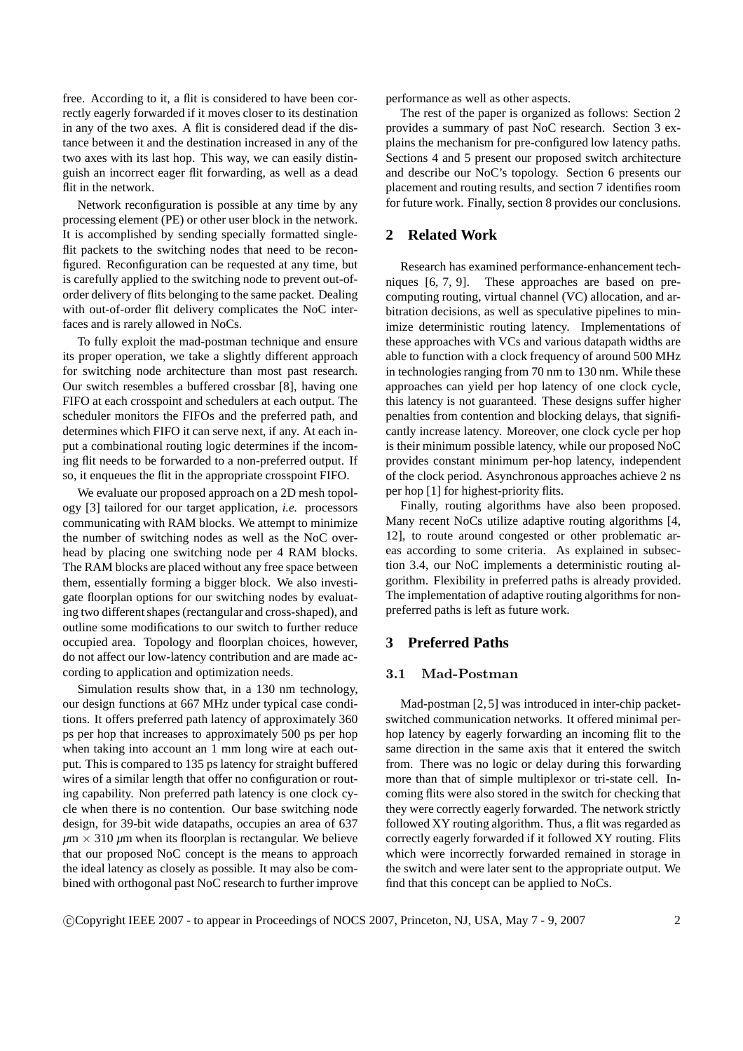free. According to it, a flit is considered to have been correctly eagerly forwarded if it moves closer to its destination in any of the two axes. A flit is considered dead if the distance between it and the destination increased in any of the two axes with its last hop. This way, we can easily distinguish an incorrect eager flit forwarding, as well as a dead flit in the network.

Network reconfiguration is possible at any time by any processing element (PE) or other user block in the network. It is accomplished by sending specially formatted singleflit packets to the switching nodes that need to be reconfigured. Reconfiguration can be requested at any time, but is carefully applied to the switching node to prevent out-oforder delivery of flits belonging to the same packet. Dealing with out-of-order flit delivery complicates the NoC interfaces and is rarely allowed in NoCs.

To fully exploit the mad-postman technique and ensure its proper operation, we take a slightly different approach for switching node architecture than most past research. Our switch resembles a buffered crossbar [8], having one FIFO at each crosspoint and schedulers at each output. The scheduler monitors the FIFOs and the preferred path, and determines which FIFO it can serve next, if any. At each input a combinational routing logic determines if the incoming flit needs to be forwarded to a non-preferred output. If so, it enqueues the flit in the appropriate crosspoint FIFO.

We evaluate our proposed approach on a 2D mesh topology [3] tailored for our target application, *i.e.* processors communicating with RAM blocks. We attempt to minimize the number of switching nodes as well as the NoC overhead by placing one switching node per 4 RAM blocks. The RAM blocks are placed without any free space between them, essentially forming a bigger block. We also investigate floorplan options for our switching nodes by evaluating two different shapes (rectangular and cross-shaped), and outline some modifications to our switch to further reduce occupied area. Topology and floorplan choices, however, do not affect our low-latency contribution and are made according to application and optimization needs.

Simulation results show that, in a 130 nm technology, our design functions at 667 MHz under typical case conditions. It offers preferred path latency of approximately 360 ps per hop that increases to approximately 500 ps per hop when taking into account an 1 mm long wire at each output. This is compared to 135 ps latency for straight buffered wires of a similar length that offer no configuration or routing capability. Non preferred path latency is one clock cycle when there is no contention. Our base switching node design, for 39-bit wide datapaths, occupies an area of 637  $\mu$ m × 310  $\mu$ m when its floorplan is rectangular. We believe that our proposed NoC concept is the means to approach the ideal latency as closely as possible. It may also be combined with orthogonal past NoC research to further improve performance as well as other aspects.

The rest of the paper is organized as follows: Section 2 provides a summary of past NoC research. Section 3 explains the mechanism for pre-configured low latency paths. Sections 4 and 5 present our proposed switch architecture and describe our NoC's topology. Section 6 presents our placement and routing results, and section 7 identifies room for future work. Finally, section 8 provides our conclusions.

# **2 Related Work**

Research has examined performance-enhancement techniques [6, 7, 9]. These approaches are based on precomputing routing, virtual channel (VC) allocation, and arbitration decisions, as well as speculative pipelines to minimize deterministic routing latency. Implementations of these approaches with VCs and various datapath widths are able to function with a clock frequency of around 500 MHz in technologies ranging from 70 nm to 130 nm. While these approaches can yield per hop latency of one clock cycle, this latency is not guaranteed. These designs suffer higher penalties from contention and blocking delays, that significantly increase latency. Moreover, one clock cycle per hop is their minimum possible latency, while our proposed NoC provides constant minimum per-hop latency, independent of the clock period. Asynchronous approaches achieve 2 ns per hop [1] for highest-priority flits.

Finally, routing algorithms have also been proposed. Many recent NoCs utilize adaptive routing algorithms [4, 12], to route around congested or other problematic areas according to some criteria. As explained in subsection 3.4, our NoC implements a deterministic routing algorithm. Flexibility in preferred paths is already provided. The implementation of adaptive routing algorithms for nonpreferred paths is left as future work.

## **3 Preferred Paths**

### 3.1 Mad-Postman

Mad-postman [2, 5] was introduced in inter-chip packetswitched communication networks. It offered minimal perhop latency by eagerly forwarding an incoming flit to the same direction in the same axis that it entered the switch from. There was no logic or delay during this forwarding more than that of simple multiplexor or tri-state cell. Incoming flits were also stored in the switch for checking that they were correctly eagerly forwarded. The network strictly followed XY routing algorithm. Thus, a flit was regarded as correctly eagerly forwarded if it followed XY routing. Flits which were incorrectly forwarded remained in storage in the switch and were later sent to the appropriate output. We find that this concept can be applied to NoCs.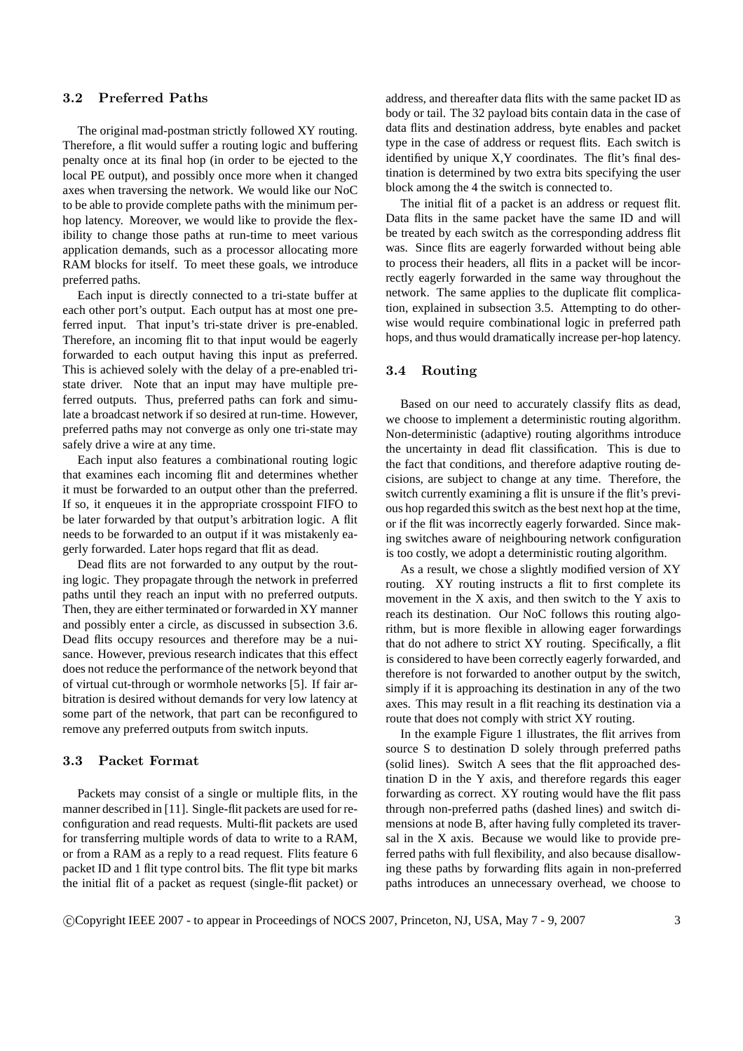## 3.2 Preferred Paths

The original mad-postman strictly followed XY routing. Therefore, a flit would suffer a routing logic and buffering penalty once at its final hop (in order to be ejected to the local PE output), and possibly once more when it changed axes when traversing the network. We would like our NoC to be able to provide complete paths with the minimum perhop latency. Moreover, we would like to provide the flexibility to change those paths at run-time to meet various application demands, such as a processor allocating more RAM blocks for itself. To meet these goals, we introduce preferred paths.

Each input is directly connected to a tri-state buffer at each other port's output. Each output has at most one preferred input. That input's tri-state driver is pre-enabled. Therefore, an incoming flit to that input would be eagerly forwarded to each output having this input as preferred. This is achieved solely with the delay of a pre-enabled tristate driver. Note that an input may have multiple preferred outputs. Thus, preferred paths can fork and simulate a broadcast network if so desired at run-time. However, preferred paths may not converge as only one tri-state may safely drive a wire at any time.

Each input also features a combinational routing logic that examines each incoming flit and determines whether it must be forwarded to an output other than the preferred. If so, it enqueues it in the appropriate crosspoint FIFO to be later forwarded by that output's arbitration logic. A flit needs to be forwarded to an output if it was mistakenly eagerly forwarded. Later hops regard that flit as dead.

Dead flits are not forwarded to any output by the routing logic. They propagate through the network in preferred paths until they reach an input with no preferred outputs. Then, they are either terminated or forwarded in XY manner and possibly enter a circle, as discussed in subsection 3.6. Dead flits occupy resources and therefore may be a nuisance. However, previous research indicates that this effect does not reduce the performance of the network beyond that of virtual cut-through or wormhole networks [5]. If fair arbitration is desired without demands for very low latency at some part of the network, that part can be reconfigured to remove any preferred outputs from switch inputs.

#### 3.3 Packet Format

Packets may consist of a single or multiple flits, in the manner described in [11]. Single-flit packets are used for reconfiguration and read requests. Multi-flit packets are used for transferring multiple words of data to write to a RAM, or from a RAM as a reply to a read request. Flits feature 6 packet ID and 1 flit type control bits. The flit type bit marks the initial flit of a packet as request (single-flit packet) or address, and thereafter data flits with the same packet ID as body or tail. The 32 payload bits contain data in the case of data flits and destination address, byte enables and packet type in the case of address or request flits. Each switch is identified by unique X,Y coordinates. The flit's final destination is determined by two extra bits specifying the user block among the 4 the switch is connected to.

The initial flit of a packet is an address or request flit. Data flits in the same packet have the same ID and will be treated by each switch as the corresponding address flit was. Since flits are eagerly forwarded without being able to process their headers, all flits in a packet will be incorrectly eagerly forwarded in the same way throughout the network. The same applies to the duplicate flit complication, explained in subsection 3.5. Attempting to do otherwise would require combinational logic in preferred path hops, and thus would dramatically increase per-hop latency.

## 3.4 Routing

Based on our need to accurately classify flits as dead, we choose to implement a deterministic routing algorithm. Non-deterministic (adaptive) routing algorithms introduce the uncertainty in dead flit classification. This is due to the fact that conditions, and therefore adaptive routing decisions, are subject to change at any time. Therefore, the switch currently examining a flit is unsure if the flit's previous hop regarded this switch as the best next hop at the time, or if the flit was incorrectly eagerly forwarded. Since making switches aware of neighbouring network configuration is too costly, we adopt a deterministic routing algorithm.

As a result, we chose a slightly modified version of XY routing. XY routing instructs a flit to first complete its movement in the X axis, and then switch to the Y axis to reach its destination. Our NoC follows this routing algorithm, but is more flexible in allowing eager forwardings that do not adhere to strict XY routing. Specifically, a flit is considered to have been correctly eagerly forwarded, and therefore is not forwarded to another output by the switch, simply if it is approaching its destination in any of the two axes. This may result in a flit reaching its destination via a route that does not comply with strict XY routing.

In the example Figure 1 illustrates, the flit arrives from source S to destination D solely through preferred paths (solid lines). Switch A sees that the flit approached destination D in the Y axis, and therefore regards this eager forwarding as correct. XY routing would have the flit pass through non-preferred paths (dashed lines) and switch dimensions at node B, after having fully completed its traversal in the X axis. Because we would like to provide preferred paths with full flexibility, and also because disallowing these paths by forwarding flits again in non-preferred paths introduces an unnecessary overhead, we choose to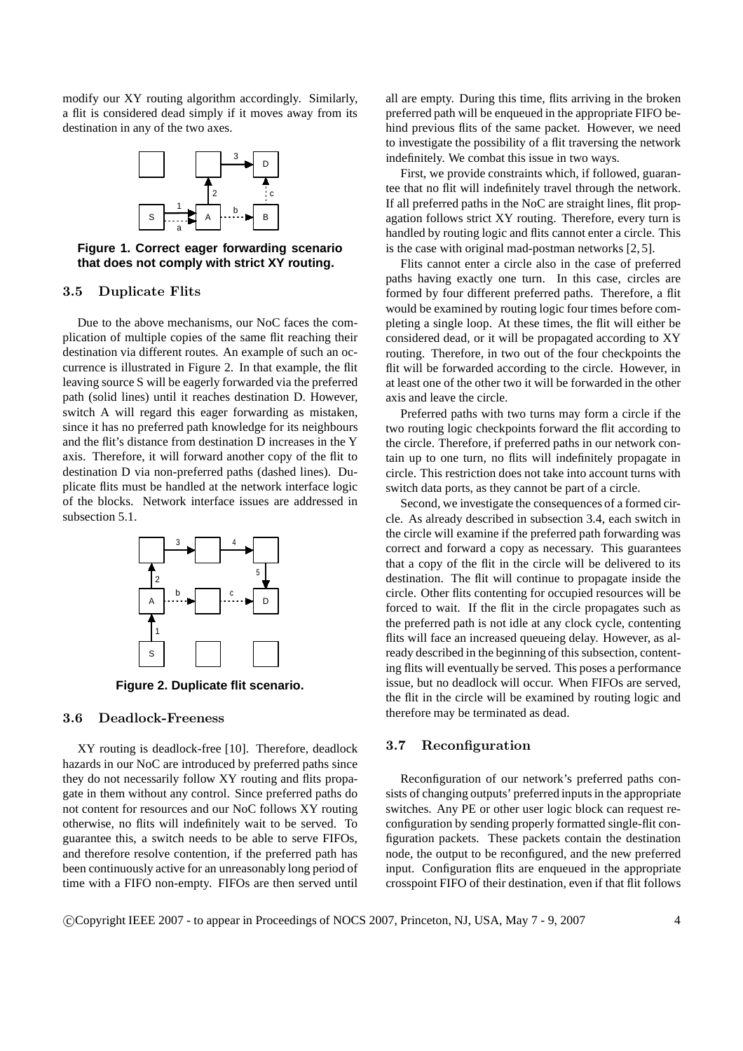modify our XY routing algorithm accordingly. Similarly, a flit is considered dead simply if it moves away from its destination in any of the two axes.



**Figure 1. Correct eager forwarding scenario that does not comply with strict XY routing.**

# 3.5 Duplicate Flits

Due to the above mechanisms, our NoC faces the complication of multiple copies of the same flit reaching their destination via different routes. An example of such an occurrence is illustrated in Figure 2. In that example, the flit leaving source S will be eagerly forwarded via the preferred path (solid lines) until it reaches destination D. However, switch A will regard this eager forwarding as mistaken, since it has no preferred path knowledge for its neighbours and the flit's distance from destination D increases in the Y axis. Therefore, it will forward another copy of the flit to destination D via non-preferred paths (dashed lines). Duplicate flits must be handled at the network interface logic of the blocks. Network interface issues are addressed in subsection 5.1.



**Figure 2. Duplicate flit scenario.**

#### 3.6 Deadlock-Freeness

XY routing is deadlock-free [10]. Therefore, deadlock hazards in our NoC are introduced by preferred paths since they do not necessarily follow XY routing and flits propagate in them without any control. Since preferred paths do not content for resources and our NoC follows XY routing otherwise, no flits will indefinitely wait to be served. To guarantee this, a switch needs to be able to serve FIFOs, and therefore resolve contention, if the preferred path has been continuously active for an unreasonably long period of time with a FIFO non-empty. FIFOs are then served until all are empty. During this time, flits arriving in the broken preferred path will be enqueued in the appropriate FIFO behind previous flits of the same packet. However, we need to investigate the possibility of a flit traversing the network indefinitely. We combat this issue in two ways.

First, we provide constraints which, if followed, guarantee that no flit will indefinitely travel through the network. If all preferred paths in the NoC are straight lines, flit propagation follows strict XY routing. Therefore, every turn is handled by routing logic and flits cannot enter a circle. This is the case with original mad-postman networks [2, 5].

Flits cannot enter a circle also in the case of preferred paths having exactly one turn. In this case, circles are formed by four different preferred paths. Therefore, a flit would be examined by routing logic four times before completing a single loop. At these times, the flit will either be considered dead, or it will be propagated according to XY routing. Therefore, in two out of the four checkpoints the flit will be forwarded according to the circle. However, in at least one of the other two it will be forwarded in the other axis and leave the circle.

Preferred paths with two turns may form a circle if the two routing logic checkpoints forward the flit according to the circle. Therefore, if preferred paths in our network contain up to one turn, no flits will indefinitely propagate in circle. This restriction does not take into account turns with switch data ports, as they cannot be part of a circle.

Second, we investigate the consequences of a formed circle. As already described in subsection 3.4, each switch in the circle will examine if the preferred path forwarding was correct and forward a copy as necessary. This guarantees that a copy of the flit in the circle will be delivered to its destination. The flit will continue to propagate inside the circle. Other flits contenting for occupied resources will be forced to wait. If the flit in the circle propagates such as the preferred path is not idle at any clock cycle, contenting flits will face an increased queueing delay. However, as already described in the beginning of this subsection, contenting flits will eventually be served. This poses a performance issue, but no deadlock will occur. When FIFOs are served, the flit in the circle will be examined by routing logic and therefore may be terminated as dead.

# 3.7 Reconfiguration

Reconfiguration of our network's preferred paths consists of changing outputs' preferred inputs in the appropriate switches. Any PE or other user logic block can request reconfiguration by sending properly formatted single-flit configuration packets. These packets contain the destination node, the output to be reconfigured, and the new preferred input. Configuration flits are enqueued in the appropriate crosspoint FIFO of their destination, even if that flit follows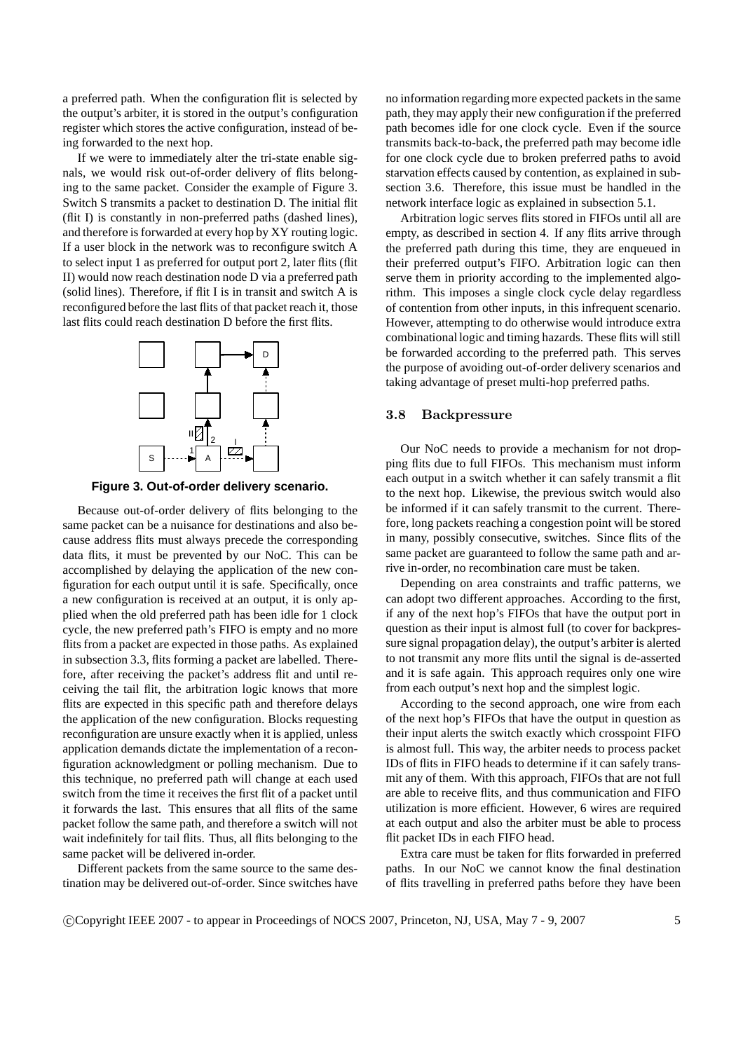a preferred path. When the configuration flit is selected by the output's arbiter, it is stored in the output's configuration register which stores the active configuration, instead of being forwarded to the next hop.

If we were to immediately alter the tri-state enable signals, we would risk out-of-order delivery of flits belonging to the same packet. Consider the example of Figure 3. Switch S transmits a packet to destination D. The initial flit (flit I) is constantly in non-preferred paths (dashed lines), and therefore is forwarded at every hop by XY routing logic. If a user block in the network was to reconfigure switch A to select input 1 as preferred for output port 2, later flits (flit II) would now reach destination node D via a preferred path (solid lines). Therefore, if flit I is in transit and switch A is reconfigured before the last flits of that packet reach it, those last flits could reach destination D before the first flits.



**Figure 3. Out-of-order delivery scenario.**

Because out-of-order delivery of flits belonging to the same packet can be a nuisance for destinations and also because address flits must always precede the corresponding data flits, it must be prevented by our NoC. This can be accomplished by delaying the application of the new configuration for each output until it is safe. Specifically, once a new configuration is received at an output, it is only applied when the old preferred path has been idle for 1 clock cycle, the new preferred path's FIFO is empty and no more flits from a packet are expected in those paths. As explained in subsection 3.3, flits forming a packet are labelled. Therefore, after receiving the packet's address flit and until receiving the tail flit, the arbitration logic knows that more flits are expected in this specific path and therefore delays the application of the new configuration. Blocks requesting reconfiguration are unsure exactly when it is applied, unless application demands dictate the implementation of a reconfiguration acknowledgment or polling mechanism. Due to this technique, no preferred path will change at each used switch from the time it receives the first flit of a packet until it forwards the last. This ensures that all flits of the same packet follow the same path, and therefore a switch will not wait indefinitely for tail flits. Thus, all flits belonging to the same packet will be delivered in-order.

Different packets from the same source to the same destination may be delivered out-of-order. Since switches have no information regarding more expected packets in the same path, they may apply their new configuration if the preferred path becomes idle for one clock cycle. Even if the source transmits back-to-back, the preferred path may become idle for one clock cycle due to broken preferred paths to avoid starvation effects caused by contention, as explained in subsection 3.6. Therefore, this issue must be handled in the network interface logic as explained in subsection 5.1.

Arbitration logic serves flits stored in FIFOs until all are empty, as described in section 4. If any flits arrive through the preferred path during this time, they are enqueued in their preferred output's FIFO. Arbitration logic can then serve them in priority according to the implemented algorithm. This imposes a single clock cycle delay regardless of contention from other inputs, in this infrequent scenario. However, attempting to do otherwise would introduce extra combinational logic and timing hazards. These flits will still be forwarded according to the preferred path. This serves the purpose of avoiding out-of-order delivery scenarios and taking advantage of preset multi-hop preferred paths.

# 3.8 Backpressure

Our NoC needs to provide a mechanism for not dropping flits due to full FIFOs. This mechanism must inform each output in a switch whether it can safely transmit a flit to the next hop. Likewise, the previous switch would also be informed if it can safely transmit to the current. Therefore, long packets reaching a congestion point will be stored in many, possibly consecutive, switches. Since flits of the same packet are guaranteed to follow the same path and arrive in-order, no recombination care must be taken.

Depending on area constraints and traffic patterns, we can adopt two different approaches. According to the first, if any of the next hop's FIFOs that have the output port in question as their input is almost full (to cover for backpressure signal propagation delay), the output's arbiter is alerted to not transmit any more flits until the signal is de-asserted and it is safe again. This approach requires only one wire from each output's next hop and the simplest logic.

According to the second approach, one wire from each of the next hop's FIFOs that have the output in question as their input alerts the switch exactly which crosspoint FIFO is almost full. This way, the arbiter needs to process packet IDs of flits in FIFO heads to determine if it can safely transmit any of them. With this approach, FIFOs that are not full are able to receive flits, and thus communication and FIFO utilization is more efficient. However, 6 wires are required at each output and also the arbiter must be able to process flit packet IDs in each FIFO head.

Extra care must be taken for flits forwarded in preferred paths. In our NoC we cannot know the final destination of flits travelling in preferred paths before they have been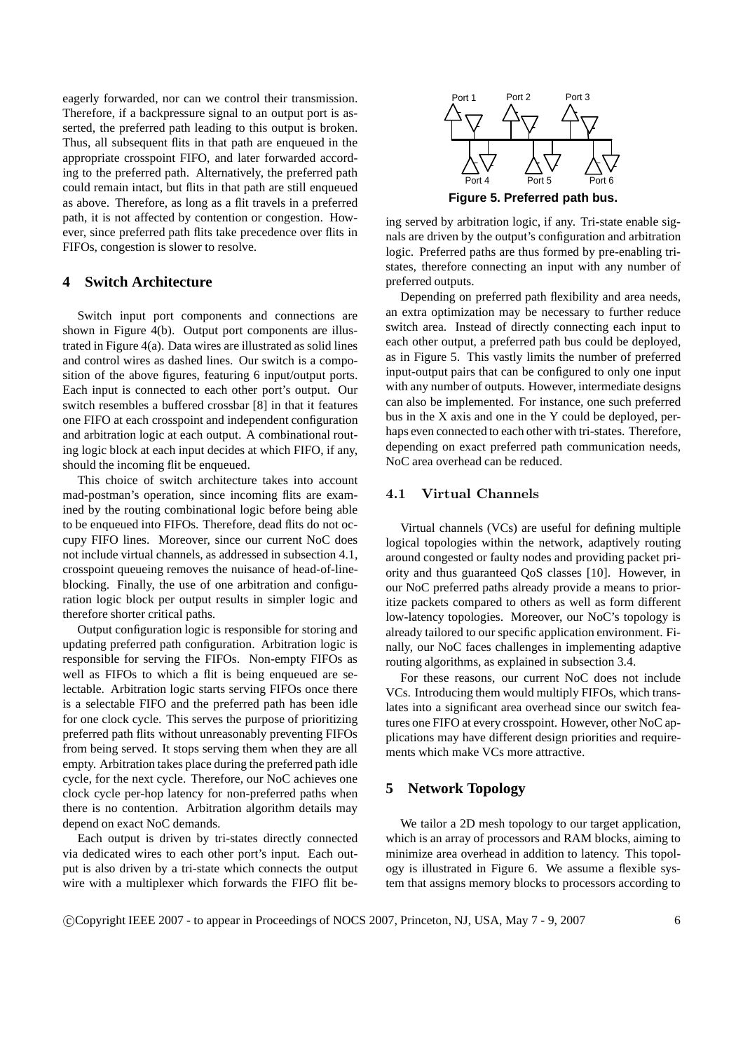eagerly forwarded, nor can we control their transmission. Therefore, if a backpressure signal to an output port is asserted, the preferred path leading to this output is broken. Thus, all subsequent flits in that path are enqueued in the appropriate crosspoint FIFO, and later forwarded according to the preferred path. Alternatively, the preferred path could remain intact, but flits in that path are still enqueued as above. Therefore, as long as a flit travels in a preferred path, it is not affected by contention or congestion. However, since preferred path flits take precedence over flits in FIFOs, congestion is slower to resolve.

# **4 Switch Architecture**

Switch input port components and connections are shown in Figure 4(b). Output port components are illustrated in Figure 4(a). Data wires are illustrated as solid lines and control wires as dashed lines. Our switch is a composition of the above figures, featuring 6 input/output ports. Each input is connected to each other port's output. Our switch resembles a buffered crossbar [8] in that it features one FIFO at each crosspoint and independent configuration and arbitration logic at each output. A combinational routing logic block at each input decides at which FIFO, if any, should the incoming flit be enqueued.

This choice of switch architecture takes into account mad-postman's operation, since incoming flits are examined by the routing combinational logic before being able to be enqueued into FIFOs. Therefore, dead flits do not occupy FIFO lines. Moreover, since our current NoC does not include virtual channels, as addressed in subsection 4.1, crosspoint queueing removes the nuisance of head-of-lineblocking. Finally, the use of one arbitration and configuration logic block per output results in simpler logic and therefore shorter critical paths.

Output configuration logic is responsible for storing and updating preferred path configuration. Arbitration logic is responsible for serving the FIFOs. Non-empty FIFOs as well as FIFOs to which a flit is being enqueued are selectable. Arbitration logic starts serving FIFOs once there is a selectable FIFO and the preferred path has been idle for one clock cycle. This serves the purpose of prioritizing preferred path flits without unreasonably preventing FIFOs from being served. It stops serving them when they are all empty. Arbitration takes place during the preferred path idle cycle, for the next cycle. Therefore, our NoC achieves one clock cycle per-hop latency for non-preferred paths when there is no contention. Arbitration algorithm details may depend on exact NoC demands.

Each output is driven by tri-states directly connected via dedicated wires to each other port's input. Each output is also driven by a tri-state which connects the output wire with a multiplexer which forwards the FIFO flit be-



ing served by arbitration logic, if any. Tri-state enable signals are driven by the output's configuration and arbitration logic. Preferred paths are thus formed by pre-enabling tristates, therefore connecting an input with any number of preferred outputs.

Depending on preferred path flexibility and area needs, an extra optimization may be necessary to further reduce switch area. Instead of directly connecting each input to each other output, a preferred path bus could be deployed, as in Figure 5. This vastly limits the number of preferred input-output pairs that can be configured to only one input with any number of outputs. However, intermediate designs can also be implemented. For instance, one such preferred bus in the X axis and one in the Y could be deployed, perhaps even connected to each other with tri-states. Therefore, depending on exact preferred path communication needs, NoC area overhead can be reduced.

# 4.1 Virtual Channels

Virtual channels (VCs) are useful for defining multiple logical topologies within the network, adaptively routing around congested or faulty nodes and providing packet priority and thus guaranteed QoS classes [10]. However, in our NoC preferred paths already provide a means to prioritize packets compared to others as well as form different low-latency topologies. Moreover, our NoC's topology is already tailored to our specific application environment. Finally, our NoC faces challenges in implementing adaptive routing algorithms, as explained in subsection 3.4.

For these reasons, our current NoC does not include VCs. Introducing them would multiply FIFOs, which translates into a significant area overhead since our switch features one FIFO at every crosspoint. However, other NoC applications may have different design priorities and requirements which make VCs more attractive.

# **5 Network Topology**

We tailor a 2D mesh topology to our target application, which is an array of processors and RAM blocks, aiming to minimize area overhead in addition to latency. This topology is illustrated in Figure 6. We assume a flexible system that assigns memory blocks to processors according to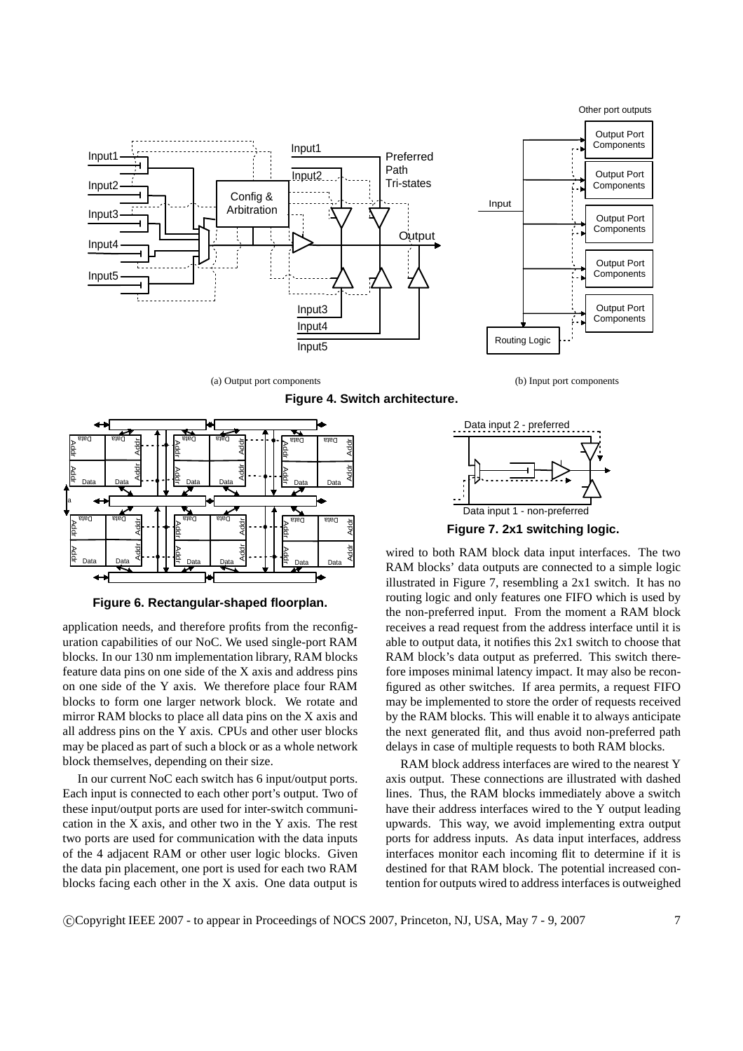

(a) Output port components





**Figure 6. Rectangular-shaped floorplan.**

application needs, and therefore profits from the reconfiguration capabilities of our NoC. We used single-port RAM blocks. In our 130 nm implementation library, RAM blocks feature data pins on one side of the X axis and address pins on one side of the Y axis. We therefore place four RAM blocks to form one larger network block. We rotate and mirror RAM blocks to place all data pins on the X axis and all address pins on the Y axis. CPUs and other user blocks may be placed as part of such a block or as a whole network block themselves, depending on their size.

In our current NoC each switch has 6 input/output ports. Each input is connected to each other port's output. Two of these input/output ports are used for inter-switch communication in the X axis, and other two in the Y axis. The rest two ports are used for communication with the data inputs of the 4 adjacent RAM or other user logic blocks. Given the data pin placement, one port is used for each two RAM blocks facing each other in the X axis. One data output is



wired to both RAM block data input interfaces. The two RAM blocks' data outputs are connected to a simple logic illustrated in Figure 7, resembling a 2x1 switch. It has no routing logic and only features one FIFO which is used by the non-preferred input. From the moment a RAM block receives a read request from the address interface until it is able to output data, it notifies this 2x1 switch to choose that RAM block's data output as preferred. This switch therefore imposes minimal latency impact. It may also be reconfigured as other switches. If area permits, a request FIFO may be implemented to store the order of requests received by the RAM blocks. This will enable it to always anticipate the next generated flit, and thus avoid non-preferred path delays in case of multiple requests to both RAM blocks.

RAM block address interfaces are wired to the nearest Y axis output. These connections are illustrated with dashed lines. Thus, the RAM blocks immediately above a switch have their address interfaces wired to the Y output leading upwards. This way, we avoid implementing extra output ports for address inputs. As data input interfaces, address interfaces monitor each incoming flit to determine if it is destined for that RAM block. The potential increased contention for outputs wired to address interfaces is outweighed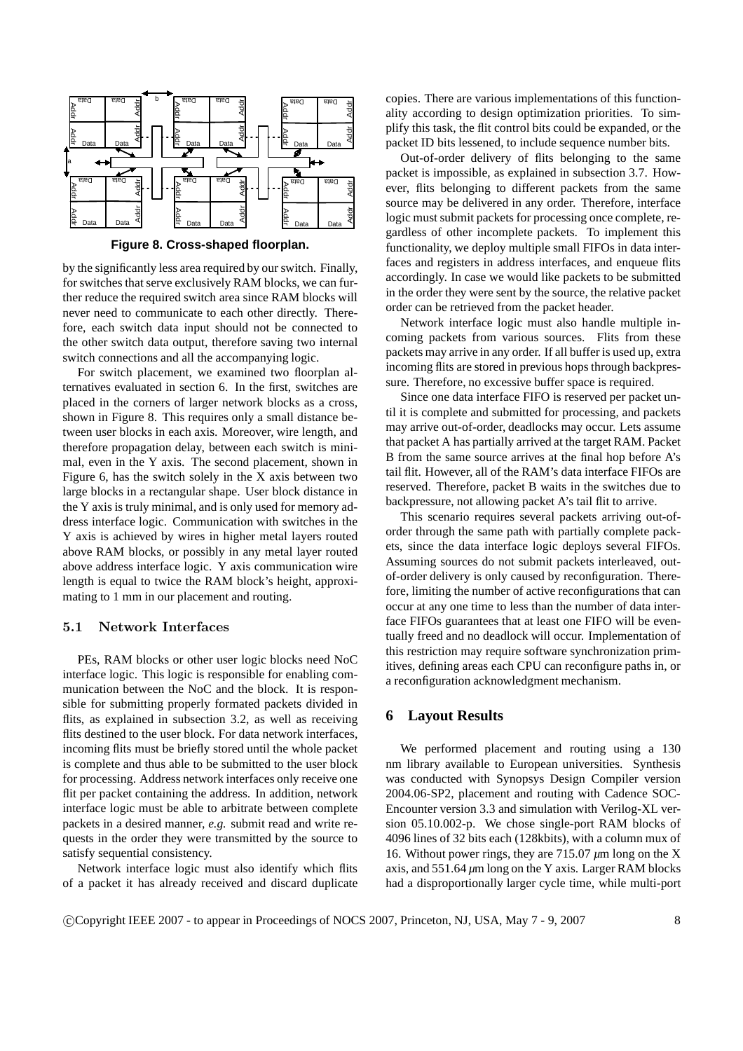

**Figure 8. Cross-shaped floorplan.**

by the significantly less area required by our switch. Finally, for switches that serve exclusively RAM blocks, we can further reduce the required switch area since RAM blocks will never need to communicate to each other directly. Therefore, each switch data input should not be connected to the other switch data output, therefore saving two internal switch connections and all the accompanying logic.

For switch placement, we examined two floorplan alternatives evaluated in section 6. In the first, switches are placed in the corners of larger network blocks as a cross, shown in Figure 8. This requires only a small distance between user blocks in each axis. Moreover, wire length, and therefore propagation delay, between each switch is minimal, even in the Y axis. The second placement, shown in Figure 6, has the switch solely in the X axis between two large blocks in a rectangular shape. User block distance in the Y axis is truly minimal, and is only used for memory address interface logic. Communication with switches in the Y axis is achieved by wires in higher metal layers routed above RAM blocks, or possibly in any metal layer routed above address interface logic. Y axis communication wire length is equal to twice the RAM block's height, approximating to 1 mm in our placement and routing.

## 5.1 Network Interfaces

PEs, RAM blocks or other user logic blocks need NoC interface logic. This logic is responsible for enabling communication between the NoC and the block. It is responsible for submitting properly formated packets divided in flits, as explained in subsection 3.2, as well as receiving flits destined to the user block. For data network interfaces, incoming flits must be briefly stored until the whole packet is complete and thus able to be submitted to the user block for processing. Address network interfaces only receive one flit per packet containing the address. In addition, network interface logic must be able to arbitrate between complete packets in a desired manner, *e.g.* submit read and write requests in the order they were transmitted by the source to satisfy sequential consistency.

Network interface logic must also identify which flits of a packet it has already received and discard duplicate copies. There are various implementations of this functionality according to design optimization priorities. To simplify this task, the flit control bits could be expanded, or the packet ID bits lessened, to include sequence number bits.

Out-of-order delivery of flits belonging to the same packet is impossible, as explained in subsection 3.7. However, flits belonging to different packets from the same source may be delivered in any order. Therefore, interface logic must submit packets for processing once complete, regardless of other incomplete packets. To implement this functionality, we deploy multiple small FIFOs in data interfaces and registers in address interfaces, and enqueue flits accordingly. In case we would like packets to be submitted in the order they were sent by the source, the relative packet order can be retrieved from the packet header.

Network interface logic must also handle multiple incoming packets from various sources. Flits from these packets may arrive in any order. If all buffer is used up, extra incoming flits are stored in previous hops through backpressure. Therefore, no excessive buffer space is required.

Since one data interface FIFO is reserved per packet until it is complete and submitted for processing, and packets may arrive out-of-order, deadlocks may occur. Lets assume that packet A has partially arrived at the target RAM. Packet B from the same source arrives at the final hop before A's tail flit. However, all of the RAM's data interface FIFOs are reserved. Therefore, packet B waits in the switches due to backpressure, not allowing packet A's tail flit to arrive.

This scenario requires several packets arriving out-oforder through the same path with partially complete packets, since the data interface logic deploys several FIFOs. Assuming sources do not submit packets interleaved, outof-order delivery is only caused by reconfiguration. Therefore, limiting the number of active reconfigurations that can occur at any one time to less than the number of data interface FIFOs guarantees that at least one FIFO will be eventually freed and no deadlock will occur. Implementation of this restriction may require software synchronization primitives, defining areas each CPU can reconfigure paths in, or a reconfiguration acknowledgment mechanism.

# **6 Layout Results**

We performed placement and routing using a 130 nm library available to European universities. Synthesis was conducted with Synopsys Design Compiler version 2004.06-SP2, placement and routing with Cadence SOC-Encounter version 3.3 and simulation with Verilog-XL version 05.10.002-p. We chose single-port RAM blocks of 4096 lines of 32 bits each (128kbits), with a column mux of 16. Without power rings, they are 715.07 *µ*m long on the X axis, and 551.64 *µ*m long on the Y axis. Larger RAM blocks had a disproportionally larger cycle time, while multi-port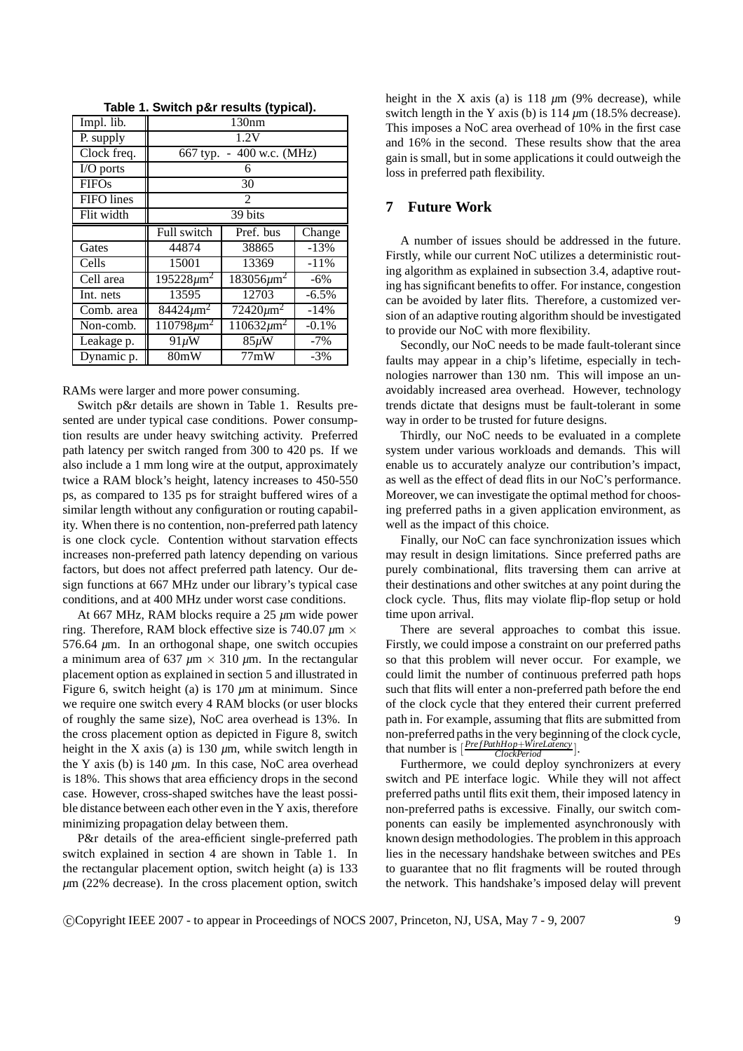| Impl. lib.   | 130nm                         |                  |          |
|--------------|-------------------------------|------------------|----------|
| P. supply    | 1.2V                          |                  |          |
| Clock freq.  | $-400$ w.c. (MHz)<br>667 typ. |                  |          |
| I/O ports    | 6                             |                  |          |
| <b>FIFOs</b> | 30                            |                  |          |
| FIFO lines   | $\mathfrak{D}$                |                  |          |
| Flit width   | 39 bits                       |                  |          |
|              | Full switch                   | Pref. bus        | Change   |
| Gates        | 44874                         | 38865            | $-13%$   |
| Cells        | 15001                         | 13369            | $-11%$   |
| Cell area    | 195228 $\mu$ m <sup>2</sup>   | $183056 \mu m^2$ | -6%      |
| Int. nets    | 13595                         | 12703            | $-6.5\%$ |
| Comb. area   | 84424 $\mu$ m <sup>2</sup>    | $72420 \mu m^2$  | $-14%$   |
| Non-comb.    | $110798 \mu m^2$              | $110632 \mu m^2$ | $-0.1%$  |
| Leakage p.   | $91 \mu W$                    | $85 \mu W$       | $-7%$    |
| Dynamic p.   | 80mW                          | 77mW             | $-3%$    |

**Table 1. Switch p&r results (typical).**

RAMs were larger and more power consuming.

Switch p&r details are shown in Table 1. Results presented are under typical case conditions. Power consumption results are under heavy switching activity. Preferred path latency per switch ranged from 300 to 420 ps. If we also include a 1 mm long wire at the output, approximately twice a RAM block's height, latency increases to 450-550 ps, as compared to 135 ps for straight buffered wires of a similar length without any configuration or routing capability. When there is no contention, non-preferred path latency is one clock cycle. Contention without starvation effects increases non-preferred path latency depending on various factors, but does not affect preferred path latency. Our design functions at 667 MHz under our library's typical case conditions, and at 400 MHz under worst case conditions.

At 667 MHz, RAM blocks require a 25 *µ*m wide power ring. Therefore, RAM block effective size is 740.07 *µ*m × 576.64 *µ*m. In an orthogonal shape, one switch occupies a minimum area of 637  $\mu$ m  $\times$  310  $\mu$ m. In the rectangular placement option as explained in section 5 and illustrated in Figure 6, switch height (a) is 170 *µ*m at minimum. Since we require one switch every 4 RAM blocks (or user blocks of roughly the same size), NoC area overhead is 13%. In the cross placement option as depicted in Figure 8, switch height in the X axis (a) is 130  $\mu$ m, while switch length in the Y axis (b) is  $140 \mu m$ . In this case, NoC area overhead is 18%. This shows that area efficiency drops in the second case. However, cross-shaped switches have the least possible distance between each other even in the Y axis, therefore minimizing propagation delay between them.

P&r details of the area-efficient single-preferred path switch explained in section 4 are shown in Table 1. In the rectangular placement option, switch height (a) is 133 *µ*m (22% decrease). In the cross placement option, switch height in the X axis (a) is 118  $\mu$ m (9% decrease), while switch length in the Y axis (b) is 114  $\mu$ m (18.5% decrease). This imposes a NoC area overhead of 10% in the first case and 16% in the second. These results show that the area gain is small, but in some applications it could outweigh the loss in preferred path flexibility.

# **7 Future Work**

A number of issues should be addressed in the future. Firstly, while our current NoC utilizes a deterministic routing algorithm as explained in subsection 3.4, adaptive routing has significant benefits to offer. For instance, congestion can be avoided by later flits. Therefore, a customized version of an adaptive routing algorithm should be investigated to provide our NoC with more flexibility.

Secondly, our NoC needs to be made fault-tolerant since faults may appear in a chip's lifetime, especially in technologies narrower than 130 nm. This will impose an unavoidably increased area overhead. However, technology trends dictate that designs must be fault-tolerant in some way in order to be trusted for future designs.

Thirdly, our NoC needs to be evaluated in a complete system under various workloads and demands. This will enable us to accurately analyze our contribution's impact, as well as the effect of dead flits in our NoC's performance. Moreover, we can investigate the optimal method for choosing preferred paths in a given application environment, as well as the impact of this choice.

Finally, our NoC can face synchronization issues which may result in design limitations. Since preferred paths are purely combinational, flits traversing them can arrive at their destinations and other switches at any point during the clock cycle. Thus, flits may violate flip-flop setup or hold time upon arrival.

There are several approaches to combat this issue. Firstly, we could impose a constraint on our preferred paths so that this problem will never occur. For example, we could limit the number of continuous preferred path hops such that flits will enter a non-preferred path before the end of the clock cycle that they entered their current preferred path in. For example, assuming that flits are submitted from non-preferred paths in the very beginning of the clock cycle, that number is [ *Pre f PathHop*+*WireLatency ClockPeriod* ].

Furthermore, we could deploy synchronizers at every switch and PE interface logic. While they will not affect preferred paths until flits exit them, their imposed latency in non-preferred paths is excessive. Finally, our switch components can easily be implemented asynchronously with known design methodologies. The problem in this approach lies in the necessary handshake between switches and PEs to guarantee that no flit fragments will be routed through the network. This handshake's imposed delay will prevent